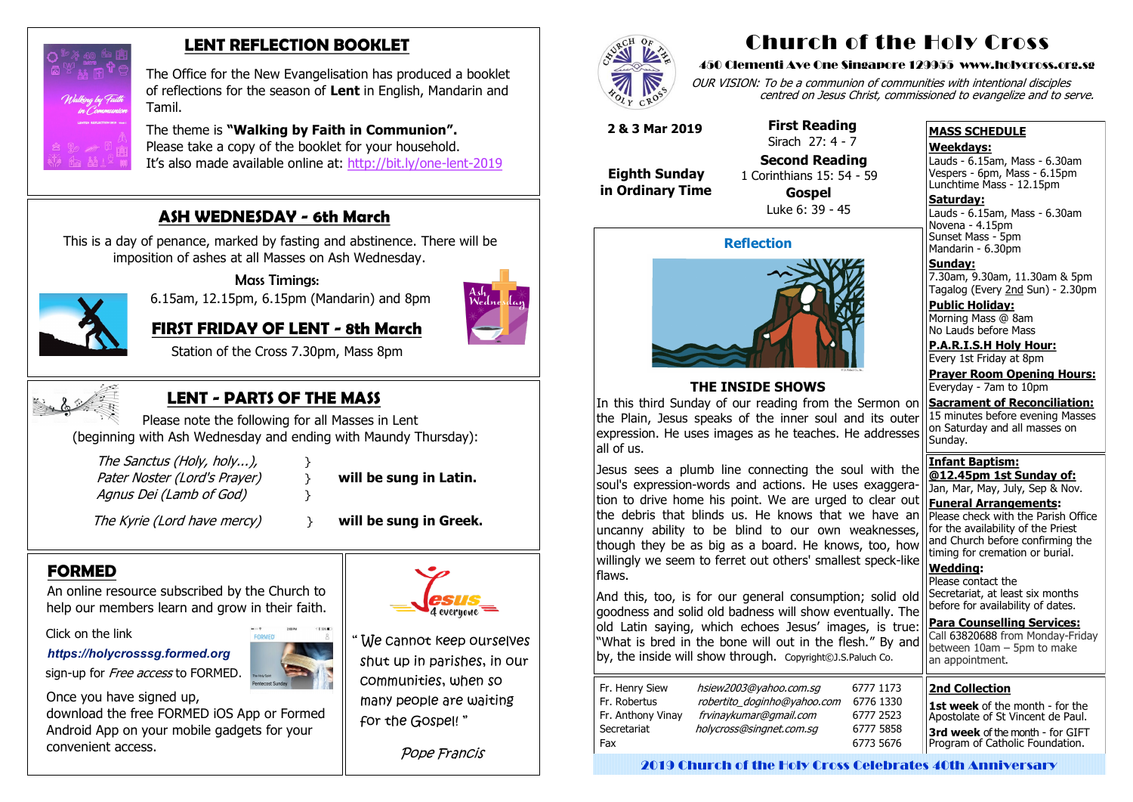# **FORMED**

An online resource subscribed by the Church to help our members learn and grow in their faith.

Click on the link

*[https://holycrosssg.formed.org](https://holycrosssg.formed.org/)*

sign-up for *Free access* to FORMED.



 Once you have signed up, download the free FORMED iOS App or Formed Android App on your mobile gadgets for your convenient access.





# **LENT REFLECTION BOOKLET**

 The Office for the New Evangelisation has produced a booklet of reflections for the season of **Lent** in English, Mandarin and Tamil.

 The theme is **"Walking by Faith in Communion".** Please take a copy of the booklet for your household. It's also made available online at: [http://bit.ly/one](http://bit.ly/one-lent-2019)-lent-2019

# **ASH WEDNESDAY - 6th March**

 This is a day of penance, marked by fasting and abstinence. There will be imposition of ashes at all Masses on Ash Wednesday.



Mass Timings:

6.15am, 12.15pm, 6.15pm (Mandarin) and 8pm



 **FIRST FRIDAY OF LENT - 8th March**

Station of the Cross 7.30pm, Mass 8pm



**Saturday:** Lauds - 6.15am, Mass - 6.30am Novena - 4.15pm Sunset Mass - 5pm Mandarin - 6.30pm

" We cannot keep ourselves shut up in parishes, in our communities, when so many people are waiting for the Gospel! "

Pope Francis



# **LENT - PARTS OF THE MASS**

 Please note the following for all Masses in Lent (beginning with Ash Wednesday and ending with Maundy Thursday):

| The Sanctus (Holy, holy),    |  |
|------------------------------|--|
| Pater Noster (Lord's Prayer) |  |
| Agnus Dei (Lamb of God)      |  |

will be sung in Latin.

The Kyrie (Lord have mercy) } **will be sung in Greek.** 

# Church of the Holy Cross

#### 450 Clementi Ave One Singapore 129955 www.holycross.org.sg

OUR VISION: To be a communion of communities with intentional disciples centred on Jesus Christ, commissioned to evangelize and to serve.

#### **MASS SCHEDULE**

**Weekdays:**

Lauds - 6.15am, Mass - 6.30am Vespers - 6pm, Mass - 6.15pm Lunchtime Mass - 12.15pm

**Sunday:** 7.30am, 9.30am, 11.30am & 5pm Tagalog (Every 2nd Sun) - 2.30pm

**Public Holiday:**  Morning Mass @ 8am No Lauds before Mass

**P.A.R.I.S.H Holy Hour:** Every 1st Friday at 8pm

**Prayer Room Opening Hours:** Everyday - 7am to 10pm

**Sacrament of Reconciliation:** 15 minutes before evening Masses on Saturday and all masses on Sunday.

**Infant Baptism: @12.45pm 1st Sunday of:** Jan, Mar, May, July, Sep & Nov. **Funeral Arrangements:** 

Please check with the Parish Office for the availability of the Priest and Church before confirming the timing for cremation or burial.

**Wedding:**  Please contact the Secretariat, at least six months before for availability of dates.

**Para Counselling Services:** Call [63820688](tel:+6563820688) from Monday-Friday between  $10$ am – 5pm to make an appointment.

#### **Reflection**



### **THE INSIDE SHOWS**

In this third Sunday of our reading from the Sermon on the Plain, Jesus speaks of the inner soul and its outer expression. He uses images as he teaches. He addresses all of us.

Jesus sees a plumb line connecting the soul with the soul's expression-words and actions. He uses exaggeration to drive home his point. We are urged to clear out the debris that blinds us. He knows that we have an uncanny ability to be blind to our own weaknesses, though they be as big as a board. He knows, too, how willingly we seem to ferret out others' smallest speck-like flaws.

And this, too, is for our general consumption; solid old goodness and solid old badness will show eventually. The old Latin saying, which echoes Jesus' images, is true: "What is bred in the bone will out in the flesh." By and by, the inside will show through. Copyright©J.S.Paluch Co.

| Fr. Henry Siew    | hsiew2003@yahoo.com.sg      |   |
|-------------------|-----------------------------|---|
| Fr. Robertus      | robertito_doginho@yahoo.com | f |
| Fr. Anthony Vinay | frvinaykumar@gmail.com      |   |
| Secretariat       | holycross@singnet.com.sq    |   |
| Fax               |                             |   |
|                   |                             |   |

 **2 & 3 Mar 2019**

 **Eighth Sunday in Ordinary Time**  **First Reading** Sirach 27: 4 - 7

**Second Reading**

 1 Corinthians 15: 54 - 59 **Gospel**

Luke 6: 39 - 45

#### **2nd Collection**

**1st week** of the month - for the Apostolate of St Vincent de Paul. **3rd week** of the month - for GIFT Program of Catholic Foundation.

2019 Church of the Holy Cross Celebrates 40th Anniversary